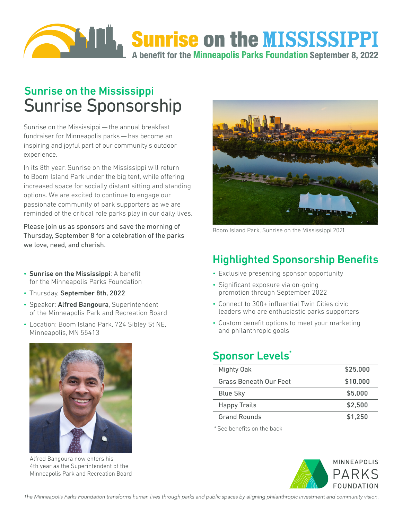

# Sunrise on the Mississippi Sunrise Sponsorship

Sunrise on the Mississippi — the annual breakfast fundraiser for Minneapolis parks — has become an inspiring and joyful part of our community's outdoor experience.

In its 8th year, Sunrise on the Mississippi will return to Boom Island Park under the big tent, while offering increased space for socially distant sitting and standing options. We are excited to continue to engage our passionate community of park supporters as we are reminded of the critical role parks play in our daily lives.

Please join us as sponsors and save the morning of Thursday, September 8 for a celebration of the parks we love, need, and cherish.

- Sunrise on the Mississippi: A benefit for the Minneapolis Parks Foundation
- Thursday, September 8th, 2022
- Speaker: Alfred Bangoura, Superintendent of the Minneapolis Park and Recreation Board
- Location: Boom Island Park, 724 Sibley St NE, Minneapolis, MN 55413



Alfred Bangoura now enters his 4th year as the Superintendent of the Minneapolis Park and Recreation Board



Boom Island Park, Sunrise on the Mississippi 2021

#### Highlighted Sponsorship Benefits

- Exclusive presenting sponsor opportunity
- Significant exposure via on-going promotion through September 2022
- Connect to 300+ influential Twin Cities civic leaders who are enthusiastic parks supporters
- Custom benefit options to meet your marketing and philanthropic goals

#### Sponsor Levels<sup>\*</sup>

| Mighty Oak             | \$25,000 |
|------------------------|----------|
| Grass Beneath Our Feet | \$10,000 |
| <b>Blue Sky</b>        | \$5,000  |
| <b>Happy Trails</b>    | \$2,500  |
| <b>Grand Rounds</b>    | \$1,250  |

\* See benefits on the back